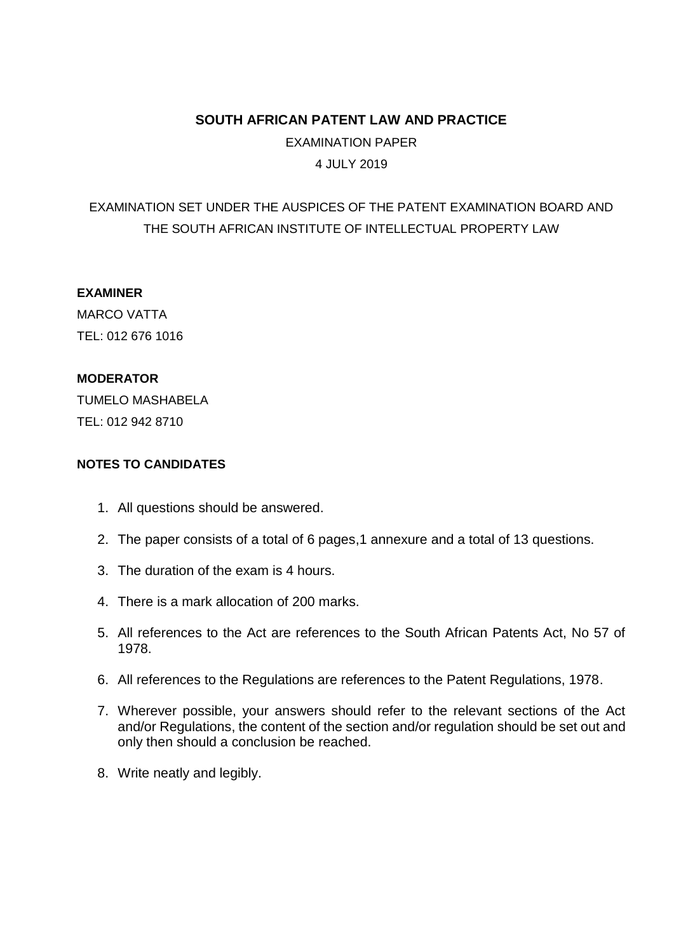# **SOUTH AFRICAN PATENT LAW AND PRACTICE**

EXAMINATION PAPER 4 JULY 2019

# EXAMINATION SET UNDER THE AUSPICES OF THE PATENT EXAMINATION BOARD AND THE SOUTH AFRICAN INSTITUTE OF INTELLECTUAL PROPERTY LAW

# **EXAMINER**

MARCO VATTA TEL: 012 676 1016

#### **MODERATOR**

TUMELO MASHABELA TEL: 012 942 8710

# **NOTES TO CANDIDATES**

- 1. All questions should be answered.
- 2. The paper consists of a total of 6 pages,1 annexure and a total of 13 questions.
- 3. The duration of the exam is 4 hours.
- 4. There is a mark allocation of 200 marks.
- 5. All references to the Act are references to the South African Patents Act, No 57 of 1978.
- 6. All references to the Regulations are references to the Patent Regulations, 1978.
- 7. Wherever possible, your answers should refer to the relevant sections of the Act and/or Regulations, the content of the section and/or regulation should be set out and only then should a conclusion be reached.
- 8. Write neatly and legibly.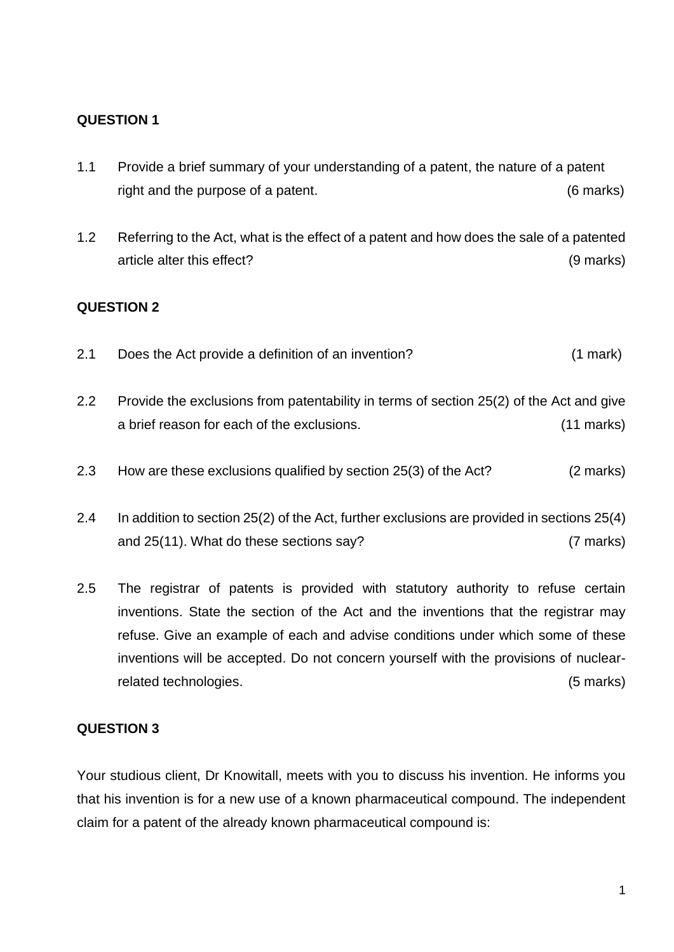- 1.1 Provide a brief summary of your understanding of a patent, the nature of a patent right and the purpose of a patent. (6 marks)
- 1.2 Referring to the Act, what is the effect of a patent and how does the sale of a patented article alter this effect? (9 marks)

# **QUESTION 2**

- 2.1 Does the Act provide a definition of an invention? (1 mark)
- 2.2 Provide the exclusions from patentability in terms of section 25(2) of the Act and give a brief reason for each of the exclusions. (11 marks)
- 2.3 How are these exclusions qualified by section 25(3) of the Act? (2 marks)
- 2.4 In addition to section 25(2) of the Act, further exclusions are provided in sections 25(4) and 25(11). What do these sections say? (7 marks)
- 2.5 The registrar of patents is provided with statutory authority to refuse certain inventions. State the section of the Act and the inventions that the registrar may refuse. Give an example of each and advise conditions under which some of these inventions will be accepted. Do not concern yourself with the provisions of nuclearrelated technologies. (5 marks)

#### **QUESTION 3**

Your studious client, Dr Knowitall, meets with you to discuss his invention. He informs you that his invention is for a new use of a known pharmaceutical compound. The independent claim for a patent of the already known pharmaceutical compound is: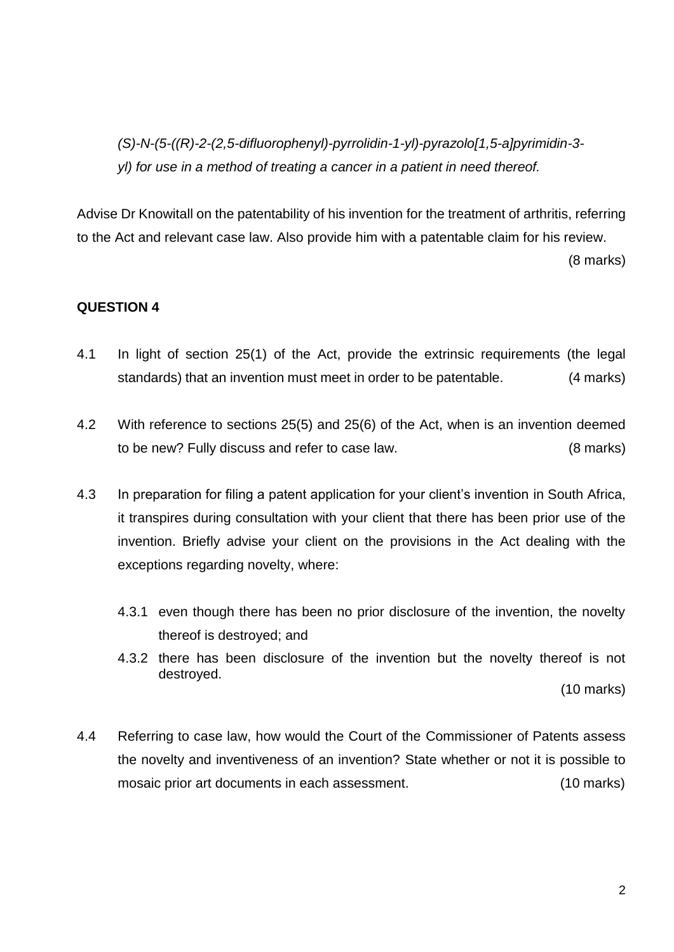*(S)-N-(5-((R)-2-(2,5-difluorophenyl)-pyrrolidin-1-yl)-pyrazolo[1,5-a]pyrimidin-3 yl) for use in a method of treating a cancer in a patient in need thereof.*

Advise Dr Knowitall on the patentability of his invention for the treatment of arthritis, referring to the Act and relevant case law. Also provide him with a patentable claim for his review.

(8 marks)

#### **QUESTION 4**

- 4.1 In light of section 25(1) of the Act, provide the extrinsic requirements (the legal standards) that an invention must meet in order to be patentable. (4 marks)
- 4.2 With reference to sections 25(5) and 25(6) of the Act, when is an invention deemed to be new? Fully discuss and refer to case law. (8 marks)
- 4.3 In preparation for filing a patent application for your client's invention in South Africa, it transpires during consultation with your client that there has been prior use of the invention. Briefly advise your client on the provisions in the Act dealing with the exceptions regarding novelty, where:
	- 4.3.1 even though there has been no prior disclosure of the invention, the novelty thereof is destroyed; and
	- 4.3.2 there has been disclosure of the invention but the novelty thereof is not destroyed.

(10 marks)

4.4 Referring to case law, how would the Court of the Commissioner of Patents assess the novelty and inventiveness of an invention? State whether or not it is possible to mosaic prior art documents in each assessment. (10 marks)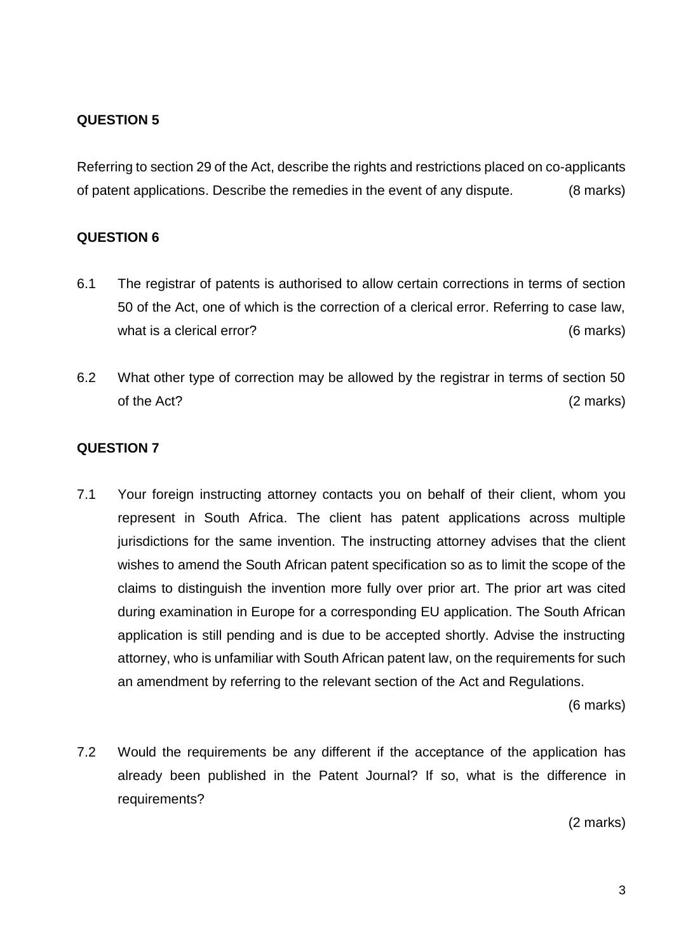Referring to section 29 of the Act, describe the rights and restrictions placed on co-applicants of patent applications. Describe the remedies in the event of any dispute. (8 marks)

### **QUESTION 6**

- 6.1 The registrar of patents is authorised to allow certain corrections in terms of section 50 of the Act, one of which is the correction of a clerical error. Referring to case law, what is a clerical error? (6 marks)
- 6.2 What other type of correction may be allowed by the registrar in terms of section 50 of the Act? (2 marks)

# **QUESTION 7**

7.1 Your foreign instructing attorney contacts you on behalf of their client, whom you represent in South Africa. The client has patent applications across multiple jurisdictions for the same invention. The instructing attorney advises that the client wishes to amend the South African patent specification so as to limit the scope of the claims to distinguish the invention more fully over prior art. The prior art was cited during examination in Europe for a corresponding EU application. The South African application is still pending and is due to be accepted shortly. Advise the instructing attorney, who is unfamiliar with South African patent law, on the requirements for such an amendment by referring to the relevant section of the Act and Regulations.

(6 marks)

7.2 Would the requirements be any different if the acceptance of the application has already been published in the Patent Journal? If so, what is the difference in requirements?

(2 marks)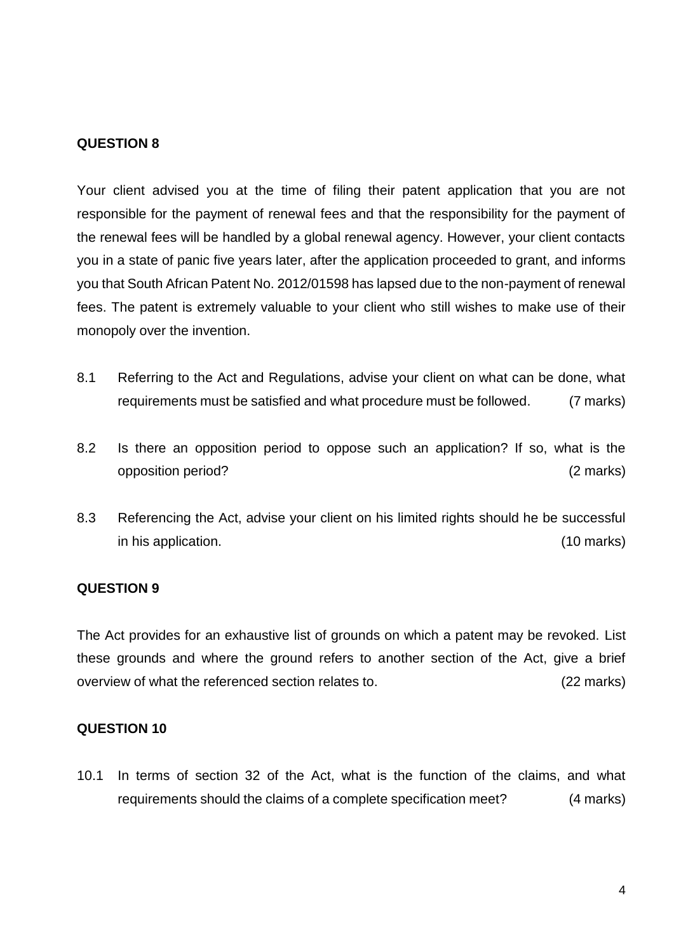Your client advised you at the time of filing their patent application that you are not responsible for the payment of renewal fees and that the responsibility for the payment of the renewal fees will be handled by a global renewal agency. However, your client contacts you in a state of panic five years later, after the application proceeded to grant, and informs you that South African Patent No. 2012/01598 has lapsed due to the non-payment of renewal fees. The patent is extremely valuable to your client who still wishes to make use of their monopoly over the invention.

- 8.1 Referring to the Act and Regulations, advise your client on what can be done, what requirements must be satisfied and what procedure must be followed. (7 marks)
- 8.2 Is there an opposition period to oppose such an application? If so, what is the opposition period? (2 marks)
- 8.3 Referencing the Act, advise your client on his limited rights should he be successful in his application. (10 marks)

#### **QUESTION 9**

The Act provides for an exhaustive list of grounds on which a patent may be revoked. List these grounds and where the ground refers to another section of the Act, give a brief overview of what the referenced section relates to. (22 marks)

#### **QUESTION 10**

10.1 In terms of section 32 of the Act, what is the function of the claims, and what requirements should the claims of a complete specification meet? (4 marks)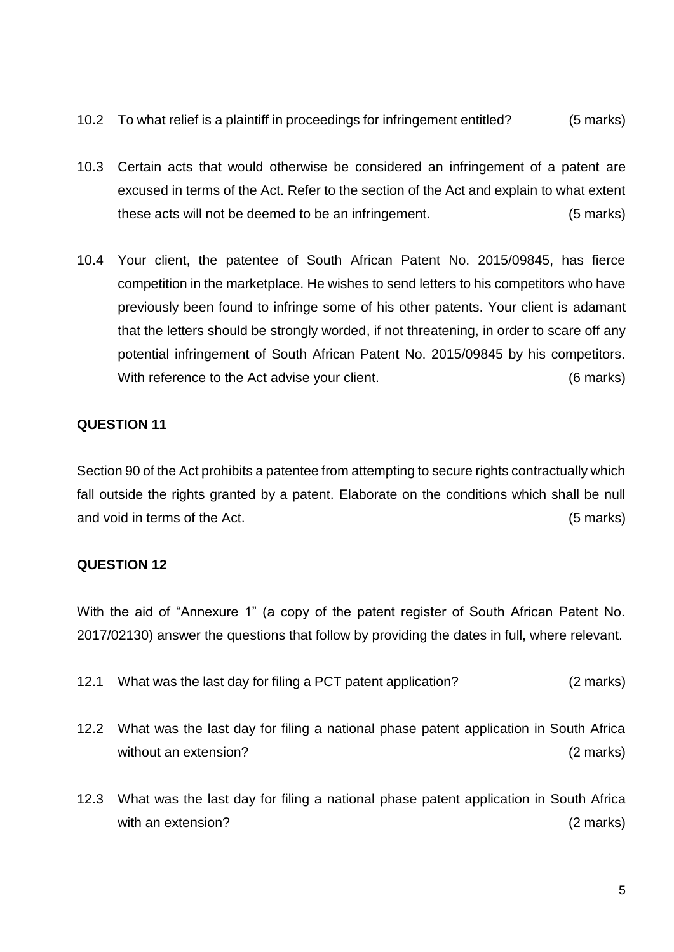- 10.2 To what relief is a plaintiff in proceedings for infringement entitled? (5 marks)
- 10.3 Certain acts that would otherwise be considered an infringement of a patent are excused in terms of the Act. Refer to the section of the Act and explain to what extent these acts will not be deemed to be an infringement. (5 marks)
- 10.4 Your client, the patentee of South African Patent No. 2015/09845, has fierce competition in the marketplace. He wishes to send letters to his competitors who have previously been found to infringe some of his other patents. Your client is adamant that the letters should be strongly worded, if not threatening, in order to scare off any potential infringement of South African Patent No. 2015/09845 by his competitors. With reference to the Act advise your client. The contract the contract of marks)

Section 90 of the Act prohibits a patentee from attempting to secure rights contractually which fall outside the rights granted by a patent. Elaborate on the conditions which shall be null and void in terms of the Act. (5 marks)

# **QUESTION 12**

With the aid of "Annexure 1" (a copy of the patent register of South African Patent No. 2017/02130) answer the questions that follow by providing the dates in full, where relevant.

- 12.1 What was the last day for filing a PCT patent application? (2 marks)
- 12.2 What was the last day for filing a national phase patent application in South Africa without an extension? (2 marks)
- 12.3 What was the last day for filing a national phase patent application in South Africa with an extension? (2 marks)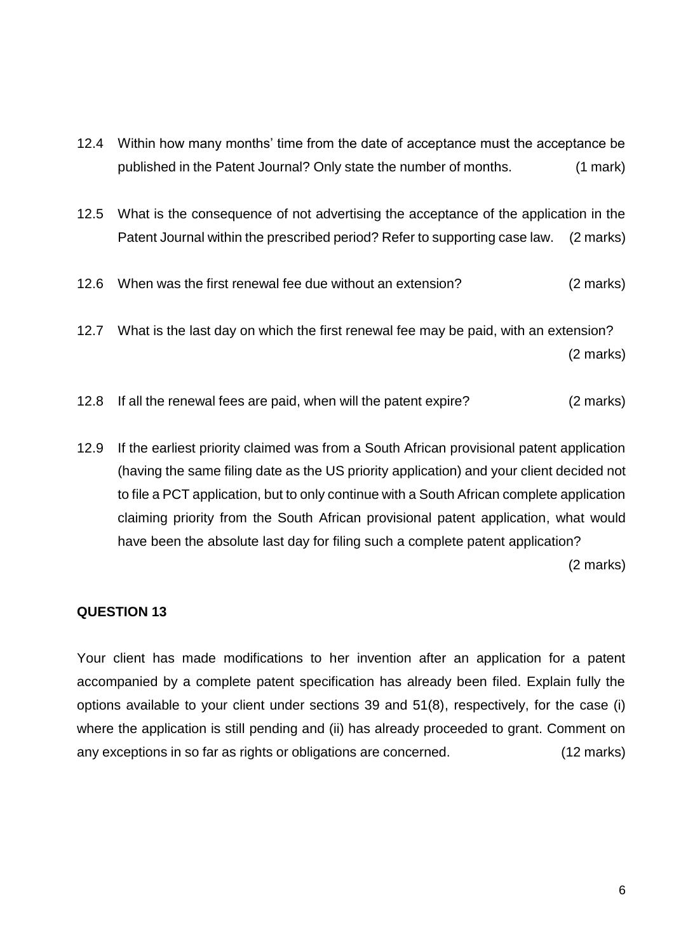- 12.4 Within how many months' time from the date of acceptance must the acceptance be published in the Patent Journal? Only state the number of months. (1 mark)
- 12.5 What is the consequence of not advertising the acceptance of the application in the Patent Journal within the prescribed period? Refer to supporting case law. (2 marks)
- 12.6 When was the first renewal fee due without an extension? (2 marks)
- 12.7 What is the last day on which the first renewal fee may be paid, with an extension? (2 marks)
- 12.8 If all the renewal fees are paid, when will the patent expire? (2 marks)
- 12.9 If the earliest priority claimed was from a South African provisional patent application (having the same filing date as the US priority application) and your client decided not to file a PCT application, but to only continue with a South African complete application claiming priority from the South African provisional patent application, what would have been the absolute last day for filing such a complete patent application?

(2 marks)

#### **QUESTION 13**

Your client has made modifications to her invention after an application for a patent accompanied by a complete patent specification has already been filed. Explain fully the options available to your client under sections 39 and 51(8), respectively, for the case (i) where the application is still pending and (ii) has already proceeded to grant. Comment on any exceptions in so far as rights or obligations are concerned. (12 marks)